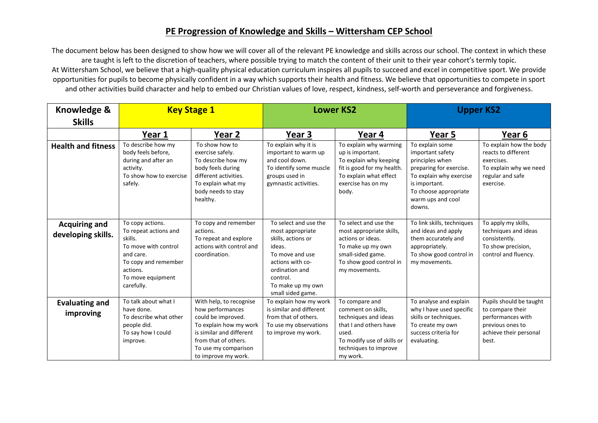## **PE Progression of Knowledge and Skills – Wittersham CEP School**

The document below has been designed to show how we will cover all of the relevant PE knowledge and skills across our school. The context in which these are taught is left to the discretion of teachers, where possible trying to match the content of their unit to their year cohort's termly topic. At Wittersham School, we believe that a high-quality physical education curriculum inspires all pupils to succeed and excel in competitive sport. We provide opportunities for pupils to become physically confident in a way which supports their health and fitness. We believe that opportunities to compete in sport and other activities build character and help to embed our Christian values of love, respect, kindness, self-worth and perseverance and forgiveness.

| Knowledge &                                | <b>Key Stage 1</b>                                                                                                                                               |                                                                                                                                                                                                | <b>Lower KS2</b>                                                                                                                                                                         |                                                                                                                                                                    | <b>Upper KS2</b>                                                                                                                                                                      |                                                                                                                         |
|--------------------------------------------|------------------------------------------------------------------------------------------------------------------------------------------------------------------|------------------------------------------------------------------------------------------------------------------------------------------------------------------------------------------------|------------------------------------------------------------------------------------------------------------------------------------------------------------------------------------------|--------------------------------------------------------------------------------------------------------------------------------------------------------------------|---------------------------------------------------------------------------------------------------------------------------------------------------------------------------------------|-------------------------------------------------------------------------------------------------------------------------|
| <b>Skills</b>                              |                                                                                                                                                                  |                                                                                                                                                                                                |                                                                                                                                                                                          |                                                                                                                                                                    |                                                                                                                                                                                       |                                                                                                                         |
|                                            | Year 1                                                                                                                                                           | Year 2                                                                                                                                                                                         | Year 3                                                                                                                                                                                   | Year 4                                                                                                                                                             | Year 5                                                                                                                                                                                | Year 6                                                                                                                  |
| <b>Health and fitness</b>                  | To describe how my<br>body feels before,<br>during and after an<br>activity.<br>To show how to exercise<br>safely.                                               | To show how to<br>exercise safely.<br>To describe how my<br>body feels during<br>different activities.<br>To explain what my<br>body needs to stay<br>healthy.                                 | To explain why it is<br>important to warm up<br>and cool down.<br>To identify some muscle<br>groups used in<br>gymnastic activities.                                                     | To explain why warming<br>up is important.<br>To explain why keeping<br>fit is good for my health.<br>To explain what effect<br>exercise has on my<br>body.        | To explain some<br>important safety<br>principles when<br>preparing for exercise.<br>To explain why exercise<br>is important.<br>To choose appropriate<br>warm ups and cool<br>downs. | To explain how the body<br>reacts to different<br>exercises.<br>To explain why we need<br>regular and safe<br>exercise. |
| <b>Acquiring and</b><br>developing skills. | To copy actions.<br>To repeat actions and<br>skills.<br>To move with control<br>and care.<br>To copy and remember<br>actions.<br>To move equipment<br>carefully. | To copy and remember<br>actions.<br>To repeat and explore<br>actions with control and<br>coordination.                                                                                         | To select and use the<br>most appropriate<br>skills, actions or<br>ideas.<br>To move and use<br>actions with co-<br>ordination and<br>control.<br>To make up my own<br>small sided game. | To select and use the<br>most appropriate skills,<br>actions or ideas.<br>To make up my own<br>small-sided game.<br>To show good control in<br>my movements.       | To link skills, techniques<br>and ideas and apply<br>them accurately and<br>appropriately.<br>To show good control in<br>my movements.                                                | To apply my skills,<br>techniques and ideas<br>consistently.<br>To show precision,<br>control and fluency.              |
| <b>Evaluating and</b><br>improving         | To talk about what I<br>have done.<br>To describe what other<br>people did.<br>To say how I could<br>improve.                                                    | With help, to recognise<br>how performances<br>could be improved.<br>To explain how my work<br>is similar and different<br>from that of others.<br>To use my comparison<br>to improve my work. | To explain how my work<br>is similar and different<br>from that of others.<br>To use my observations<br>to improve my work.                                                              | To compare and<br>comment on skills,<br>techniques and ideas<br>that I and others have<br>used.<br>To modify use of skills or<br>techniques to improve<br>my work. | To analyse and explain<br>why I have used specific<br>skills or techniques.<br>To create my own<br>success criteria for<br>evaluating.                                                | Pupils should be taught<br>to compare their<br>performances with<br>previous ones to<br>achieve their personal<br>best. |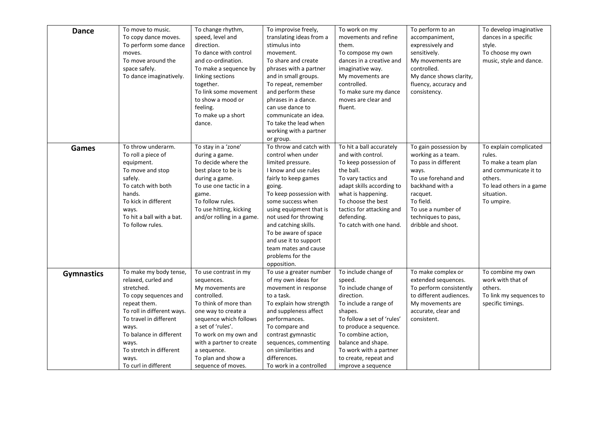| <b>Dance</b>      | To move to music.<br>To copy dance moves.<br>To perform some dance<br>moves.<br>To move around the<br>space safely.<br>To dance imaginatively.                                                                                                                        | To change rhythm,<br>speed, level and<br>direction.<br>To dance with control<br>and co-ordination.<br>To make a sequence by<br>linking sections<br>together.<br>To link some movement<br>to show a mood or<br>feeling.<br>To make up a short<br>dance.                                | To improvise freely,<br>translating ideas from a<br>stimulus into<br>movement.<br>To share and create<br>phrases with a partner<br>and in small groups.<br>To repeat, remember<br>and perform these<br>phrases in a dance.<br>can use dance to<br>communicate an idea.<br>To take the lead when<br>working with a partner<br>or group.                               | To work on my<br>movements and refine<br>them.<br>To compose my own<br>dances in a creative and<br>imaginative way.<br>My movements are<br>controlled.<br>To make sure my dance<br>moves are clear and<br>fluent.                                                                     | To perform to an<br>accompaniment,<br>expressively and<br>sensitively.<br>My movements are<br>controlled.<br>My dance shows clarity,<br>fluency, accuracy and<br>consistency.                                      | To develop imaginative<br>dances in a specific<br>style.<br>To choose my own<br>music, style and dance.                                             |
|-------------------|-----------------------------------------------------------------------------------------------------------------------------------------------------------------------------------------------------------------------------------------------------------------------|---------------------------------------------------------------------------------------------------------------------------------------------------------------------------------------------------------------------------------------------------------------------------------------|----------------------------------------------------------------------------------------------------------------------------------------------------------------------------------------------------------------------------------------------------------------------------------------------------------------------------------------------------------------------|---------------------------------------------------------------------------------------------------------------------------------------------------------------------------------------------------------------------------------------------------------------------------------------|--------------------------------------------------------------------------------------------------------------------------------------------------------------------------------------------------------------------|-----------------------------------------------------------------------------------------------------------------------------------------------------|
| Games             | To throw underarm.<br>To roll a piece of<br>equipment.<br>To move and stop<br>safely.<br>To catch with both<br>hands.<br>To kick in different<br>ways.<br>To hit a ball with a bat.<br>To follow rules.                                                               | To stay in a 'zone'<br>during a game.<br>To decide where the<br>best place to be is<br>during a game.<br>To use one tactic in a<br>game.<br>To follow rules.<br>To use hitting, kicking<br>and/or rolling in a game.                                                                  | To throw and catch with<br>control when under<br>limited pressure.<br>I know and use rules<br>fairly to keep games<br>going.<br>To keep possession with<br>some success when<br>using equipment that is<br>not used for throwing<br>and catching skills.<br>To be aware of space<br>and use it to support<br>team mates and cause<br>problems for the<br>opposition. | To hit a ball accurately<br>and with control.<br>To keep possession of<br>the ball.<br>To vary tactics and<br>adapt skills according to<br>what is happening.<br>To choose the best<br>tactics for attacking and<br>defending.<br>To catch with one hand.                             | To gain possession by<br>working as a team.<br>To pass in different<br>ways.<br>To use forehand and<br>backhand with a<br>racquet.<br>To field.<br>To use a number of<br>techniques to pass,<br>dribble and shoot. | To explain complicated<br>rules.<br>To make a team plan<br>and communicate it to<br>others.<br>To lead others in a game<br>situation.<br>To umpire. |
| <b>Gymnastics</b> | To make my body tense,<br>relaxed, curled and<br>stretched.<br>To copy sequences and<br>repeat them.<br>To roll in different ways.<br>To travel in different<br>ways.<br>To balance in different<br>ways.<br>To stretch in different<br>ways.<br>To curl in different | To use contrast in my<br>sequences.<br>My movements are<br>controlled.<br>To think of more than<br>one way to create a<br>sequence which follows<br>a set of 'rules'.<br>To work on my own and<br>with a partner to create<br>a sequence.<br>To plan and show a<br>sequence of moves. | To use a greater number<br>of my own ideas for<br>movement in response<br>to a task.<br>To explain how strength<br>and suppleness affect<br>performances.<br>To compare and<br>contrast gymnastic<br>sequences, commenting<br>on similarities and<br>differences.<br>To work in a controlled                                                                         | To include change of<br>speed.<br>To include change of<br>direction.<br>To include a range of<br>shapes.<br>To follow a set of 'rules'<br>to produce a sequence.<br>To combine action,<br>balance and shape.<br>To work with a partner<br>to create, repeat and<br>improve a sequence | To make complex or<br>extended sequences.<br>To perform consistently<br>to different audiences.<br>My movements are<br>accurate, clear and<br>consistent.                                                          | To combine my own<br>work with that of<br>others.<br>To link my sequences to<br>specific timings.                                                   |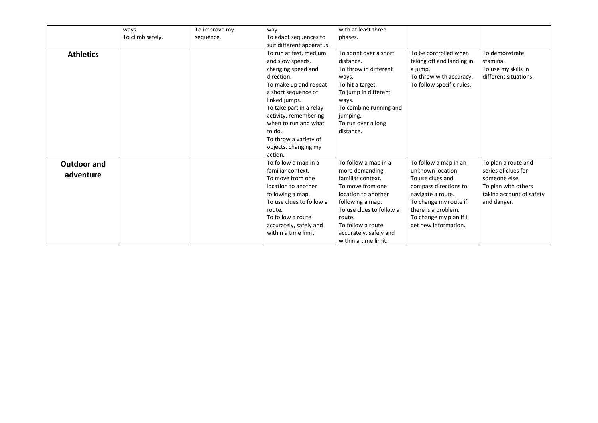|                    | ways.            | To improve my | way.                      | with at least three      |                           |                          |
|--------------------|------------------|---------------|---------------------------|--------------------------|---------------------------|--------------------------|
|                    | To climb safely. | sequence.     | To adapt sequences to     | phases.                  |                           |                          |
|                    |                  |               | suit different apparatus. |                          |                           |                          |
| <b>Athletics</b>   |                  |               | To run at fast, medium    | To sprint over a short   | To be controlled when     | To demonstrate           |
|                    |                  |               | and slow speeds,          | distance.                | taking off and landing in | stamina.                 |
|                    |                  |               | changing speed and        | To throw in different    | a jump.                   | To use my skills in      |
|                    |                  |               | direction.                | ways.                    | To throw with accuracy.   | different situations.    |
|                    |                  |               | To make up and repeat     | To hit a target.         | To follow specific rules. |                          |
|                    |                  |               | a short sequence of       | To jump in different     |                           |                          |
|                    |                  |               | linked jumps.             | ways.                    |                           |                          |
|                    |                  |               | To take part in a relay   | To combine running and   |                           |                          |
|                    |                  |               | activity, remembering     | jumping.                 |                           |                          |
|                    |                  |               | when to run and what      | To run over a long       |                           |                          |
|                    |                  |               | to do.                    | distance.                |                           |                          |
|                    |                  |               | To throw a variety of     |                          |                           |                          |
|                    |                  |               | objects, changing my      |                          |                           |                          |
|                    |                  |               | action.                   |                          |                           |                          |
| <b>Outdoor and</b> |                  |               | To follow a map in a      | To follow a map in a     | To follow a map in an     | To plan a route and      |
| adventure          |                  |               | familiar context.         | more demanding           | unknown location.         | series of clues for      |
|                    |                  |               | To move from one          | familiar context.        | To use clues and          | someone else.            |
|                    |                  |               | location to another       | To move from one         | compass directions to     | To plan with others      |
|                    |                  |               | following a map.          | location to another      | navigate a route.         | taking account of safety |
|                    |                  |               | To use clues to follow a  | following a map.         | To change my route if     | and danger.              |
|                    |                  |               | route.                    | To use clues to follow a | there is a problem.       |                          |
|                    |                  |               | To follow a route         | route.                   | To change my plan if I    |                          |
|                    |                  |               | accurately, safely and    | To follow a route        | get new information.      |                          |
|                    |                  |               | within a time limit.      | accurately, safely and   |                           |                          |
|                    |                  |               |                           | within a time limit.     |                           |                          |